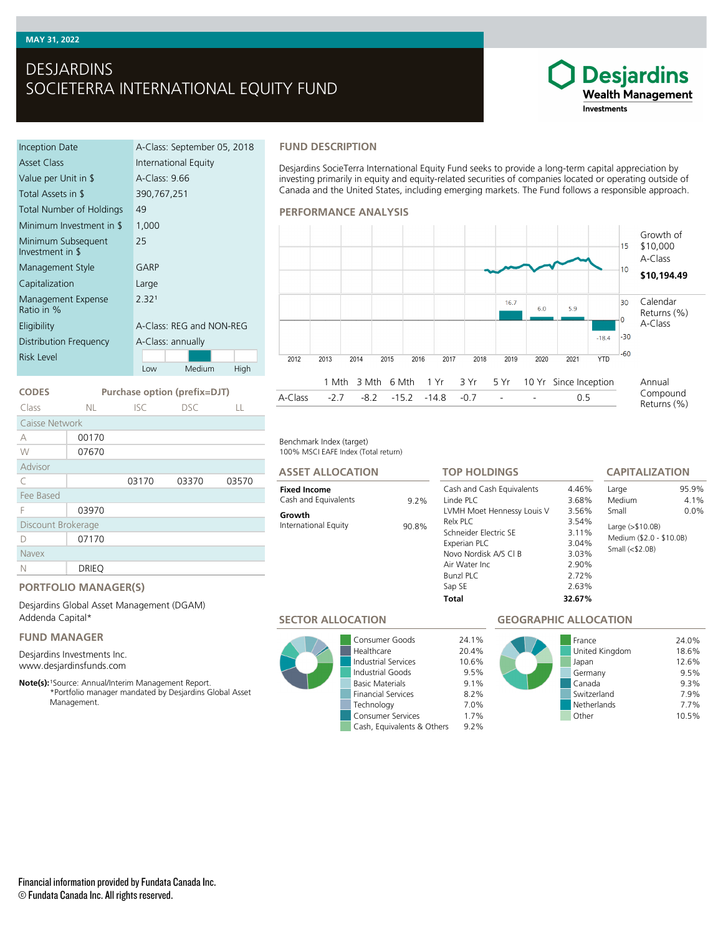### **MAY 31, 2022**

# DESJARDINS SOCIETERRA INTERNATIONAL EQUITY FUND

### Inception Date A-Class: September 05, 2018 Asset Class **International Equity** Value per Unit in \$ A-Class: 9.66 Total Assets in \$ 390,767,251 Total Number of Holdings 49 Minimum Investment in \$ 1,000 Minimum Subsequent Investment in \$ 25 Management Style **GARP** Capitalization Large Management Expense Ratio in %  $2.32<sup>1</sup>$ Eligibility A-Class: REG and NON-REG Distribution Frequency A-Class: annually Low Medium High Risk Level

**CODES Purchase option (prefix=DJT)** Class NL ISC DSC LL

C 03170 03370 03570

#### **FUND DESCRIPTION**

Desjardins SocieTerra International Equity Fund seeks to provide a long-term capital appreciation by investing primarily in equity and equity-related securities of companies located or operating outside of Canada and the United States, including emerging markets. The Fund follows a responsible approach.

#### **PERFORMANCE ANALYSIS**



100% MSCI EAFE Index (Total return) Benchmark Index (target)

#### **ASSET ALLOCATION**

#### **Fixed Income** Cash and Equivalents 9.2%

# **Growth**

International Equity 90.8%

#### Cash and Cash Equivalents 4.46%<br>
Linde PLC 3.68% Linde PLC 3.68% LVMH Moet Hennessy Louis V 3.56% Relx PLC 3.54% Schneider Electric SE 3.11% Experian PLC 3.04% Novo Nordisk A/S Cl B 3.03%<br>Air Water Inc 2.90% Air Water Inc. Bunzl PLC 2.72% Sap SE 2.63% **TOP HOLDINGS**

**Total 32.67%**

# **CAPITALIZATION**

**Desjardins Wealth Management** 

Investments

| Large                                                           | 95 9%   |
|-----------------------------------------------------------------|---------|
| Medium                                                          | $4.1\%$ |
| Small                                                           | $0.0\%$ |
| Large (>\$10.0B)<br>Medium (\$2.0 - \$10.0B)<br>Small $($2.0B)$ |         |

# **PORTFOLIO MANAGER(S)**

03970

Desjardins Global Asset Management (DGAM) Addenda Capital\*

# **FUND MANAGER**

Discount Brokerage D 07170

N DRIEQ

Caisse Network A 00170 W 07670

Advisor

Fee Based

Navex

Desjardins Investments Inc. www.desjardinsfunds.com

Note(s): <sup>1</sup>Source: Annual/Interim Management Report. \*Portfolio manager mandated by Desjardins Global Asset Management.

**SECTOR ALLOCATION**



Consumer Goods 24.1% Healthcare 20.4% Industrial Services 10.6% Industrial Goods 9.5% **Basic Materials** Financial Services 8.2% Technology 7.0% Consumer Services 1.7% Cash, Equivalents & Others 9.2%

# **GEOGRAPHIC ALLOCATION**

|  | France<br>United Kingdom<br>Japan<br>Germany<br>Canada<br>Switzerland<br>Netherlands | 24.0%<br>18.6%<br>12.6%<br>9.5%<br>9.3%<br>7.9%<br>7.7% |
|--|--------------------------------------------------------------------------------------|---------------------------------------------------------|
|  | Other                                                                                | 10.5%                                                   |

### Financial information provided by Fundata Canada Inc. © Fundata Canada Inc. All rights reserved.